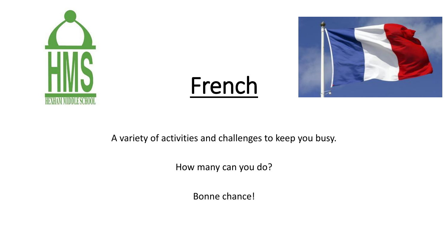

## French



A variety of activities and challenges to keep you busy.

How many can you do?

Bonne chance!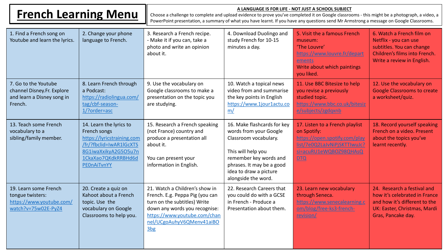| <b>French Learning Menu</b>                                                                  |                                                                                                                                                                       | A LANGUAGE IS FOR LIFE - NOT JUST A SCHOOL SUBJECT<br>Choose a challenge to complete and upload evidence to prove you've completed it on Google classrooms - this might be a photograph, a video, a<br>PowerPoint presentation, a summary of what you have learnt. If you have any questions send Mr Armstrong a message on Google Classrooms. |                                                                                                                                                                                                              |                                                                                                                                                  |                                                                                                                                                     |  |
|----------------------------------------------------------------------------------------------|-----------------------------------------------------------------------------------------------------------------------------------------------------------------------|------------------------------------------------------------------------------------------------------------------------------------------------------------------------------------------------------------------------------------------------------------------------------------------------------------------------------------------------|--------------------------------------------------------------------------------------------------------------------------------------------------------------------------------------------------------------|--------------------------------------------------------------------------------------------------------------------------------------------------|-----------------------------------------------------------------------------------------------------------------------------------------------------|--|
| 1. Find a French song on<br>Youtube and learn the lyrics.                                    | 2. Change your phone<br>language to French.                                                                                                                           | 3. Research a French recipe.<br>- Make it if you can, take a<br>photo and write an opinion<br>about it.                                                                                                                                                                                                                                        | 4. Download Duolingo and<br>study French for 10-15<br>minutes a day.                                                                                                                                         | 5. Visit the a famous French<br>museum:<br>'The Louvre'<br>https://www.louvre.fr/depart<br>ements<br>Write about which paintings<br>you liked.   | 6. Watch a French film on<br>Netflix - you can use<br>subtitles. You can change<br>Children's films into French.<br>Write a review in English.      |  |
| 7. Go to the Youtube<br>channel Disney.Fr. Explore<br>and learn a Disney song in<br>French.  | 8. Learn French through<br>a Podcast:<br>https://radiolingua.com/<br>tag/cbf-season-<br>1/?order=asc                                                                  | 9. Use the vocabulary on<br>Google classrooms to make a<br>presentation on the topic you<br>are studying.                                                                                                                                                                                                                                      | 10. Watch a topical news<br>video from and summarise<br>the key points in English<br>https://www.1jour1actu.co<br>m/                                                                                         | 11. Use BBC Bitesize to help<br>you revise a previously<br>studied topic.<br>https://www.bbc.co.uk/bitesiz<br>e/subjects/zgdqxnb                 | 12. Use the vocabulary on<br><b>Google Classrooms to create</b><br>a worksheet/quiz.                                                                |  |
| 13. Teach some French<br>vocabulary to a<br>sibling/family member.                           | 14. Learn the lyrics to<br>French songs<br>https://lyricstraining.com<br>/fr/?fbclid=IwAR1lGcXTS<br>8G1iwaXxikyA2G5O5u7n<br>1CkaXao7QKdkRRBHd6d<br><b>PEOnAiTvnYY</b> | 15. Research a French speaking<br>(not France) country and<br>produce a presentation all<br>about it.<br>You can present your<br>information in English.                                                                                                                                                                                       | 16. Make flashcards for key<br>words from your Google<br>Classroom vocabulary.<br>This will help you<br>remember key words and<br>phrases. It may be a good<br>idea to draw a picture<br>alongside the word. | 17. Listen to a French playlist<br>on Spotify:<br>https://open.spotify.com/play<br>list/7e0Q2LaJvNiPjSKTTIwuJc?<br>si=acuRU1eWQBOZ98QHAsQ<br>DTQ | 18. Record yourself speaking<br>French on a video. Present<br>about the topics you've<br>learnt recently.                                           |  |
| 19. Learn some French<br>tongue twisters:<br>https://www.youtube.com/<br>watch?v=75w02E-PyZ4 | 20. Create a quiz on<br>Kahoot about a French<br>topic. Use the<br>vocabulary on Google<br>Classrooms to help you.                                                    | 21. Watch a Children's show in<br>French. E.g. Peppa Pig (you can<br>turn on the subtitles) Write<br>down any words you recognise:<br>https://www.youtube.com/chan<br>nel/UCgoAuhyV6QMenv41aiBO<br>3 <sub>bg</sub>                                                                                                                             | 22. Research Careers that<br>you could do with a GCSE<br>in French - Produce a<br>Presentation about them.                                                                                                   | 23. Learn new vocabulary<br>through Seneca.<br>https://www.senecalearning.c<br>om/blog/free-ks3-french-<br>revision/                             | 24. Research a festival and<br>how it's celebrated in France<br>and how it's different to the<br>UK: Easter, Christmas, Mardi<br>Gras, Pancake day. |  |